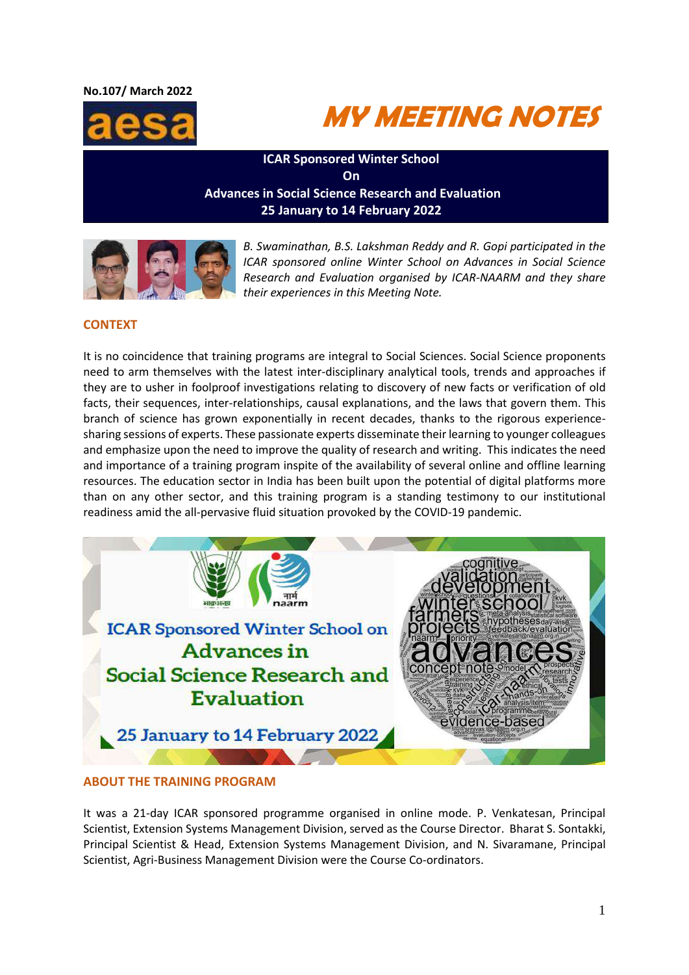#### **No.107/ March 2022**





**ICAR Sponsored Winter School On Advances in Social Science Research and Evaluation 25 January to 14 February 2022**



*B. Swaminathan, B.S. Lakshman Reddy and R. Gopi participated in the ICAR sponsored online Winter School on Advances in Social Science Research and Evaluation organised by ICAR-NAARM and they share their experiences in this Meeting Note.*

# **CONTEXT**

It is no coincidence that training programs are integral to Social Sciences. Social Science proponents need to arm themselves with the latest inter-disciplinary analytical tools, trends and approaches if they are to usher in foolproof investigations relating to discovery of new facts or verification of old facts, their sequences, inter-relationships, causal explanations, and the laws that govern them. This branch of science has grown exponentially in recent decades, thanks to the rigorous experiencesharing sessions of experts. These passionate experts disseminate their learning to younger colleagues and emphasize upon the need to improve the quality of research and writing. This indicates the need and importance of a training program inspite of the availability of several online and offline learning resources. The education sector in India has been built upon the potential of digital platforms more than on any other sector, and this training program is a standing testimony to our institutional readiness amid the all-pervasive fluid situation provoked by the COVID-19 pandemic.



### **ABOUT THE TRAINING PROGRAM**

It was a 21-day ICAR sponsored programme organised in online mode. P. Venkatesan, Principal Scientist, Extension Systems Management Division, served as the Course Director. Bharat S. Sontakki, Principal Scientist & Head, Extension Systems Management Division, and N. Sivaramane, Principal Scientist, Agri-Business Management Division were the Course Co-ordinators.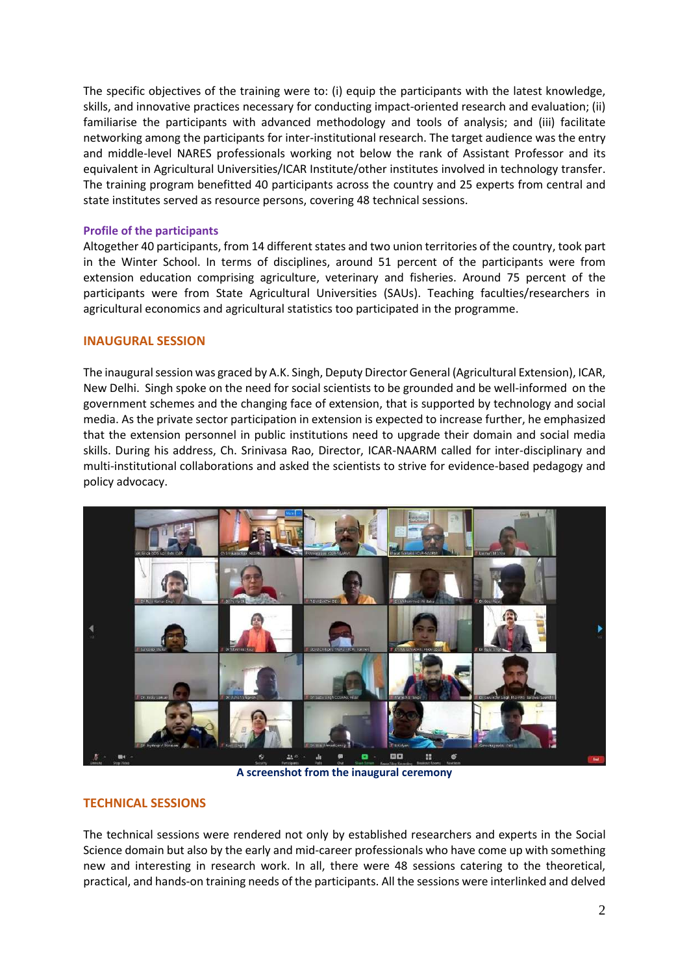The specific objectives of the training were to: (i) equip the participants with the latest knowledge, skills, and innovative practices necessary for conducting impact-oriented research and evaluation; (ii) familiarise the participants with advanced methodology and tools of analysis; and (iii) facilitate networking among the participants for inter-institutional research. The target audience was the entry and middle-level NARES professionals working not below the rank of Assistant Professor and its equivalent in Agricultural Universities/ICAR Institute/other institutes involved in technology transfer. The training program benefitted 40 participants across the country and 25 experts from central and state institutes served as resource persons, covering 48 technical sessions.

### **Profile of the participants**

Altogether 40 participants, from 14 different states and two union territories of the country, took part in the Winter School. In terms of disciplines, around 51 percent of the participants were from extension education comprising agriculture, veterinary and fisheries. Around 75 percent of the participants were from State Agricultural Universities (SAUs). Teaching faculties/researchers in agricultural economics and agricultural statistics too participated in the programme.

# **INAUGURAL SESSION**

The inaugural session was graced by A.K. Singh, Deputy Director General (Agricultural Extension), ICAR, New Delhi. Singh spoke on the need for social scientists to be grounded and be well-informed on the government schemes and the changing face of extension, that is supported by technology and social media. As the private sector participation in extension is expected to increase further, he emphasized that the extension personnel in public institutions need to upgrade their domain and social media skills. During his address, Ch. Srinivasa Rao, Director, ICAR-NAARM called for inter-disciplinary and multi-institutional collaborations and asked the scientists to strive for evidence-based pedagogy and policy advocacy.



**A screenshot from the inaugural ceremony** 

# **TECHNICAL SESSIONS**

The technical sessions were rendered not only by established researchers and experts in the Social Science domain but also by the early and mid-career professionals who have come up with something new and interesting in research work. In all, there were 48 sessions catering to the theoretical, practical, and hands-on training needs of the participants. All the sessions were interlinked and delved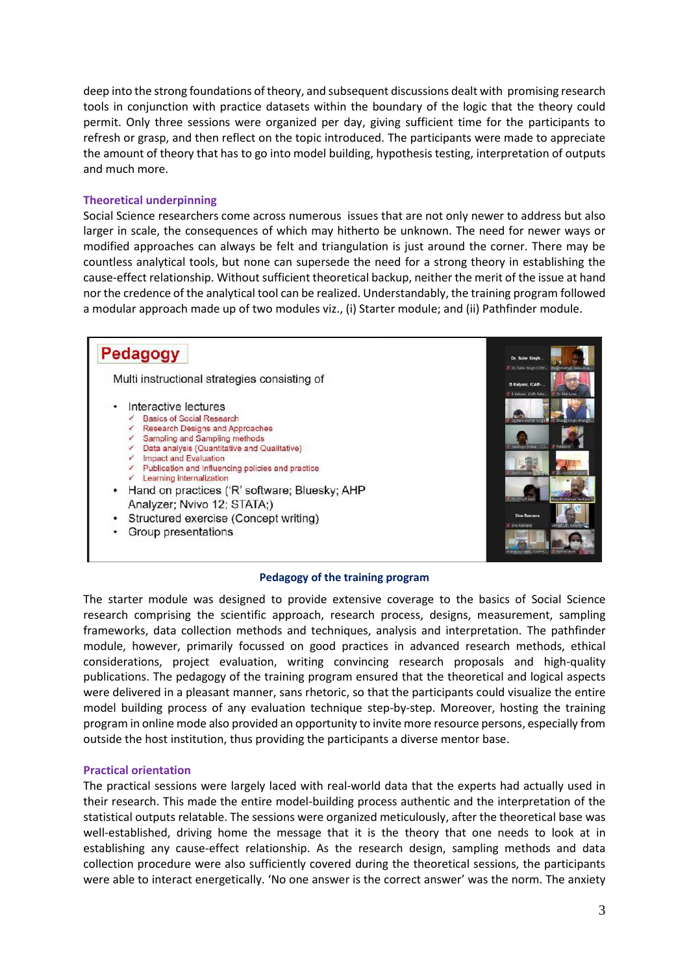deep into the strong foundations of theory, and subsequent discussions dealt with promising research tools in conjunction with practice datasets within the boundary of the logic that the theory could permit. Only three sessions were organized per day, giving sufficient time for the participants to refresh or grasp, and then reflect on the topic introduced. The participants were made to appreciate the amount of theory that has to go into model building, hypothesis testing, interpretation of outputs and much more.

### **Theoretical underpinning**

Social Science researchers come across numerous issues that are not only newer to address but also larger in scale, the consequences of which may hitherto be unknown. The need for newer ways or modified approaches can always be felt and triangulation is just around the corner. There may be countless analytical tools, but none can supersede the need for a strong theory in establishing the cause-effect relationship. Without sufficient theoretical backup, neither the merit of the issue at hand nor the credence of the analytical tool can be realized. Understandably, the training program followed a modular approach made up of two modules viz., (i) Starter module; and (ii) Pathfinder module.

# Pedagogy

Multi instructional strategies consisting of

- Interactive lectures
	- Basics of Social Research
	- Research Designs and Approaches Sampling and Sampling methods
	- Data analysis (Quantitative and Qualitative)
	- Impact and Evaluation
	- Publication and Influencing policies and practice
	- Learning internalization
- Hand on practices ('R' software; Bluesky; AHP Analyzer: Nvivo 12: STATA:)
- Structured exercise (Concept writing)
- Group presentations



#### **Pedagogy of the training program**

The starter module was designed to provide extensive coverage to the basics of Social Science research comprising the scientific approach, research process, designs, measurement, sampling frameworks, data collection methods and techniques, analysis and interpretation. The pathfinder module, however, primarily focussed on good practices in advanced research methods, ethical considerations, project evaluation, writing convincing research proposals and high-quality publications. The pedagogy of the training program ensured that the theoretical and logical aspects were delivered in a pleasant manner, sans rhetoric, so that the participants could visualize the entire model building process of any evaluation technique step-by-step. Moreover, hosting the training program in online mode also provided an opportunity to invite more resource persons, especially from outside the host institution, thus providing the participants a diverse mentor base.

#### **Practical orientation**

The practical sessions were largely laced with real-world data that the experts had actually used in their research. This made the entire model-building process authentic and the interpretation of the statistical outputs relatable. The sessions were organized meticulously, after the theoretical base was well-established, driving home the message that it is the theory that one needs to look at in establishing any cause-effect relationship. As the research design, sampling methods and data collection procedure were also sufficiently covered during the theoretical sessions, the participants were able to interact energetically. 'No one answer is the correct answer' was the norm. The anxiety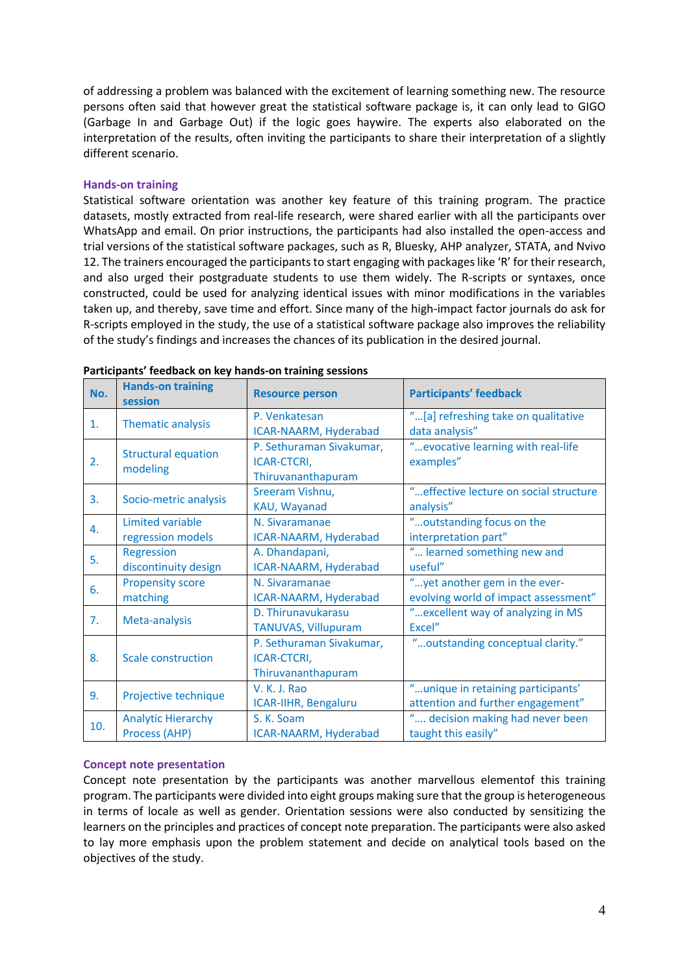of addressing a problem was balanced with the excitement of learning something new. The resource persons often said that however great the statistical software package is, it can only lead to GIGO (Garbage In and Garbage Out) if the logic goes haywire. The experts also elaborated on the interpretation of the results, often inviting the participants to share their interpretation of a slightly different scenario.

### **Hands-on training**

Statistical software orientation was another key feature of this training program. The practice datasets, mostly extracted from real-life research, were shared earlier with all the participants over WhatsApp and email. On prior instructions, the participants had also installed the open-access and trial versions of the statistical software packages, such as R, Bluesky, AHP analyzer, STATA, and Nvivo 12. The trainers encouraged the participants to start engaging with packages like 'R' for their research, and also urged their postgraduate students to use them widely. The R-scripts or syntaxes, once constructed, could be used for analyzing identical issues with minor modifications in the variables taken up, and thereby, save time and effort. Since many of the high-impact factor journals do ask for R-scripts employed in the study, the use of a statistical software package also improves the reliability of the study's findings and increases the chances of its publication in the desired journal.

| No. | <b>Hands-on training</b><br>session        | <b>Resource person</b>                                        | <b>Participants' feedback</b>                                            |
|-----|--------------------------------------------|---------------------------------------------------------------|--------------------------------------------------------------------------|
| 1.  | Thematic analysis                          | P. Venkatesan<br>ICAR-NAARM, Hyderabad                        | "[a] refreshing take on qualitative<br>data analysis"                    |
| 2.  | <b>Structural equation</b><br>modeling     | P. Sethuraman Sivakumar,<br>ICAR-CTCRI,<br>Thiruvananthapuram | " evocative learning with real-life<br>examples"                         |
| 3.  | Socio-metric analysis                      | Sreeram Vishnu,<br>KAU, Wayanad                               | "effective lecture on social structure<br>analysis"                      |
| 4.  | Limited variable<br>regression models      | N. Sivaramanae<br>ICAR-NAARM, Hyderabad                       | "outstanding focus on the<br>interpretation part"                        |
| 5.  | <b>Regression</b><br>discontinuity design  | A. Dhandapani,<br>ICAR-NAARM, Hyderabad                       | " learned something new and<br>useful"                                   |
| 6.  | <b>Propensity score</b><br>matching        | N. Sivaramanae<br>ICAR-NAARM, Hyderabad                       | "yet another gem in the ever-<br>evolving world of impact assessment"    |
| 7.  | Meta-analysis                              | D. Thirunavukarasu<br>TANUVAS, Villupuram                     | " excellent way of analyzing in MS<br>Excel"                             |
| 8.  | Scale construction                         | P. Sethuraman Sivakumar,<br>ICAR-CTCRI,<br>Thiruvananthapuram | "outstanding conceptual clarity."                                        |
| 9.  | Projective technique                       | V. K. J. Rao<br>ICAR-IIHR, Bengaluru                          | " unique in retaining participants'<br>attention and further engagement" |
| 10. | <b>Analytic Hierarchy</b><br>Process (AHP) | S. K. Soam<br>ICAR-NAARM, Hyderabad                           | " decision making had never been<br>taught this easily"                  |

#### **Participants' feedback on key hands-on training sessions**

### **Concept note presentation**

Concept note presentation by the participants was another marvellous elementof this training program. The participants were divided into eight groups making sure that the group is heterogeneous in terms of locale as well as gender. Orientation sessions were also conducted by sensitizing the learners on the principles and practices of concept note preparation. The participants were also asked to lay more emphasis upon the problem statement and decide on analytical tools based on the objectives of the study.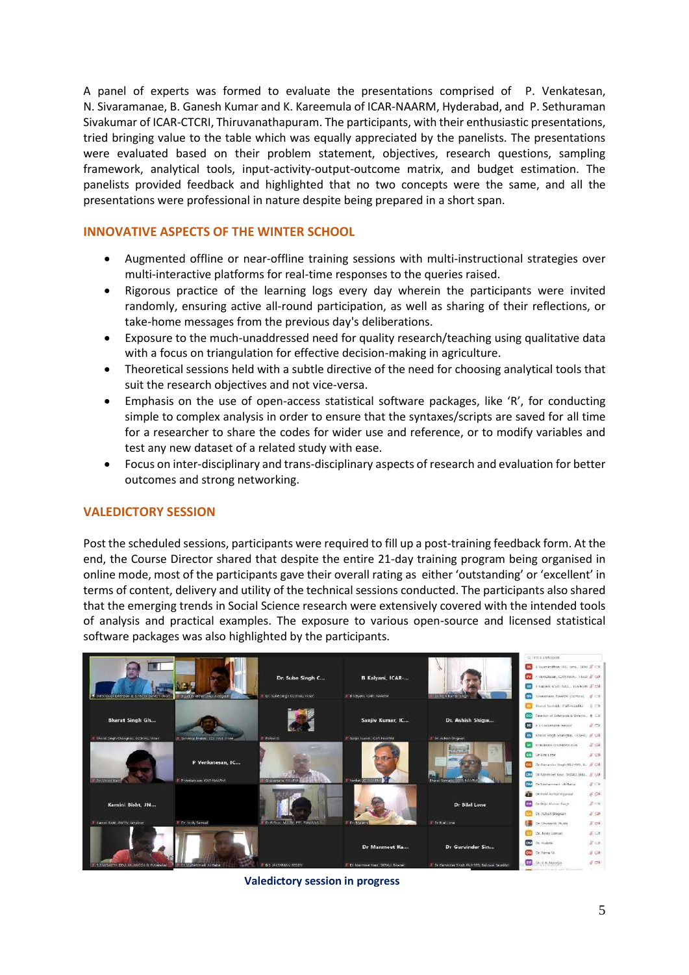A panel of experts was formed to evaluate the presentations comprised of P. Venkatesan, N. Sivaramanae, B. Ganesh Kumar and K. Kareemula of ICAR-NAARM, Hyderabad, and P. Sethuraman Sivakumar of ICAR-CTCRI, Thiruvanathapuram. The participants, with their enthusiastic presentations, tried bringing value to the table which was equally appreciated by the panelists. The presentations were evaluated based on their problem statement, objectives, research questions, sampling framework, analytical tools, input-activity-output-outcome matrix, and budget estimation. The panelists provided feedback and highlighted that no two concepts were the same, and all the presentations were professional in nature despite being prepared in a short span.

# **INNOVATIVE ASPECTS OF THE WINTER SCHOOL**

- Augmented offline or near-offline training sessions with multi-instructional strategies over multi-interactive platforms for real-time responses to the queries raised.
- Rigorous practice of the learning logs every day wherein the participants were invited randomly, ensuring active all-round participation, as well as sharing of their reflections, or take-home messages from the previous day's deliberations.
- Exposure to the much-unaddressed need for quality research/teaching using qualitative data with a focus on triangulation for effective decision-making in agriculture.
- Theoretical sessions held with a subtle directive of the need for choosing analytical tools that suit the research objectives and not vice-versa.
- Emphasis on the use of open-access statistical software packages, like 'R', for conducting simple to complex analysis in order to ensure that the syntaxes/scripts are saved for all time for a researcher to share the codes for wider use and reference, or to modify variables and test any new dataset of a related study with ease.
- Focus on inter-disciplinary and trans-disciplinary aspects of research and evaluation for better outcomes and strong networking.

# **VALEDICTORY SESSION**

Post the scheduled sessions, participants were required to fill up a post-training feedback form. At the end, the Course Director shared that despite the entire 21-day training program being organised in online mode, most of the participants gave their overall rating as either 'outstanding' or 'excellent' in terms of content, delivery and utility of the technical sessions conducted. The participants also shared that the emerging trends in Social Science research were extensively covered with the intended tools of analysis and practical examples. The exposure to various open-source and licensed statistical software packages was also highlighted by the participants.



**Valedictory session in progress**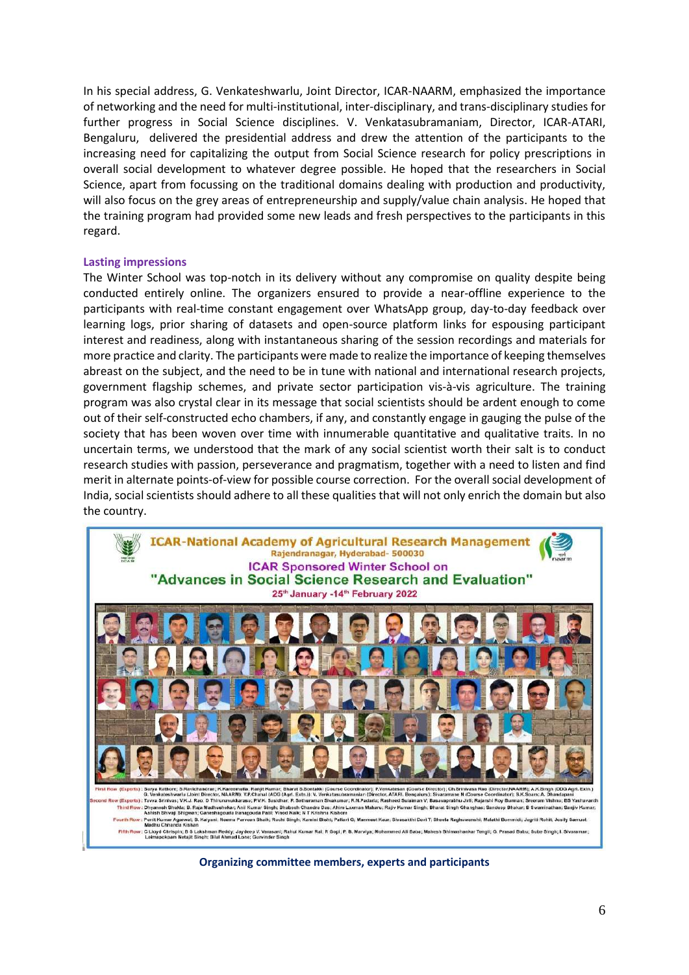In his special address, G. Venkateshwarlu, Joint Director, ICAR-NAARM, emphasized the importance of networking and the need for multi-institutional, inter-disciplinary, and trans-disciplinary studies for further progress in Social Science disciplines. V. Venkatasubramaniam, Director, ICAR-ATARI, Bengaluru, delivered the presidential address and drew the attention of the participants to the increasing need for capitalizing the output from Social Science research for policy prescriptions in overall social development to whatever degree possible. He hoped that the researchers in Social Science, apart from focussing on the traditional domains dealing with production and productivity, will also focus on the grey areas of entrepreneurship and supply/value chain analysis. He hoped that the training program had provided some new leads and fresh perspectives to the participants in this regard.

#### **Lasting impressions**

The Winter School was top-notch in its delivery without any compromise on quality despite being conducted entirely online. The organizers ensured to provide a near-offline experience to the participants with real-time constant engagement over WhatsApp group, day-to-day feedback over learning logs, prior sharing of datasets and open-source platform links for espousing participant interest and readiness, along with instantaneous sharing of the session recordings and materials for more practice and clarity. The participants were made to realize the importance of keeping themselves abreast on the subject, and the need to be in tune with national and international research projects, government flagship schemes, and private sector participation vis-à-vis agriculture. The training program was also crystal clear in its message that social scientists should be ardent enough to come out of their self-constructed echo chambers, if any, and constantly engage in gauging the pulse of the society that has been woven over time with innumerable quantitative and qualitative traits. In no uncertain terms, we understood that the mark of any social scientist worth their salt is to conduct research studies with passion, perseverance and pragmatism, together with a need to listen and find merit in alternate points-of-view for possible course correction. For the overall social development of India, social scientists should adhere to all these qualities that will not only enrich the domain but also the country.



**Organizing committee members, experts and participants**